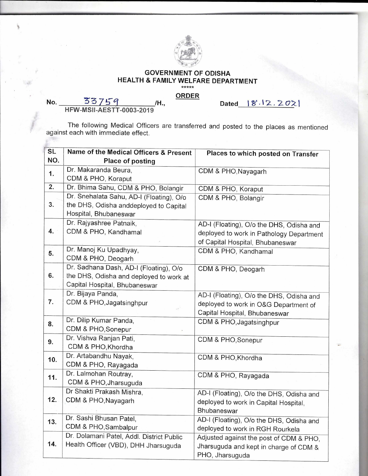

## **GOVERNMENT OF ODISHA HEALTH & FAMILY WELFARE DEPARTMENT**

## **ORDER**

**Dated** ► **W. <sup>1</sup> 2.** 2 <sup>0</sup>

No. 33759 /H., **HFW-MSII-AESTT-0003-2019** 

The following Medical Officers are transferred and posted to the places as mentioned against each with immediate effect.

| <b>SL</b> | Name of the Medical Officers & Present    | Places to which posted on Transfer       |
|-----------|-------------------------------------------|------------------------------------------|
| NO.       | <b>Place of posting</b>                   |                                          |
| 1.        | Dr. Makaranda Beura,                      | CDM & PHO, Nayagarh                      |
|           | CDM & PHO, Koraput                        |                                          |
| 2.        | Dr. Bhima Sahu, CDM & PHO, Bolangir       | CDM & PHO, Koraput                       |
|           | Dr. Snehalata Sahu, AD-I (Floating), O/o  | CDM & PHO, Bolangir                      |
| 3.        | the DHS, Odisha anddeployed to Capital    |                                          |
|           | Hospital, Bhubaneswar                     |                                          |
|           | Dr. Rajyashree Patnaik,                   | AD-I (Floating), O/o the DHS, Odisha and |
| 4.        | CDM & PHO, Kandhamal                      | deployed to work in Pathology Department |
|           |                                           | of Capital Hospital, Bhubaneswar         |
| 5.        | Dr. Manoj Ku Upadhyay,                    | CDM & PHO, Kandhamal                     |
|           | CDM & PHO, Deogarh                        |                                          |
|           | Dr. Sadhana Dash, AD-I (Floating), O/o    | CDM & PHO, Deogarh                       |
| 6.        | the DHS, Odisha and deployed to work at   |                                          |
|           | Capital Hospital, Bhubaneswar             |                                          |
|           | Dr. Bijaya Panda,                         | AD-I (Floating), O/o the DHS, Odisha and |
| 7.        | CDM & PHO, Jagatsinghpur                  | deployed to work in O&G Department of    |
|           |                                           | Capital Hospital, Bhubaneswar            |
| 8.        | Dr. Dilip Kumar Panda,                    | CDM & PHO, Jagatsinghpur                 |
|           | CDM & PHO, Sonepur                        |                                          |
| 9.        | Dr. Vishva Ranjan Pati,                   | CDM & PHO, Sonepur                       |
|           | CDM & PHO, Khordha                        |                                          |
| 10.       | Dr. Artabandhu Nayak,                     | CDM & PHO, Khordha                       |
|           | CDM & PHO, Rayagada                       |                                          |
| 11.       | Dr. Lalmohan Routray,                     | CDM & PHO, Rayagada                      |
|           | CDM & PHO, Jharsuguda                     |                                          |
|           | Dr Shakti Prakash Mishra,                 | AD-I (Floating), O/o the DHS, Odisha and |
| 12.       | CDM & PHO, Nayagarh                       | deployed to work in Capital Hospital,    |
|           |                                           | Bhubaneswar                              |
| 13.       | Dr. Sashi Bhusan Patel,                   | AD-I (Floating), O/o the DHS, Odisha and |
|           | CDM & PHO, Sambalpur                      | deployed to work in RGH Rourkela         |
|           | Dr. Dolamani Patel, Addl. District Public | Adjusted against the post of CDM & PHO,  |
| 14.       | Health Officer (VBD), DHH Jharsuguda      | Jharsuguda and kept in charge of CDM &   |
|           |                                           | PHO, Jharsuguda                          |